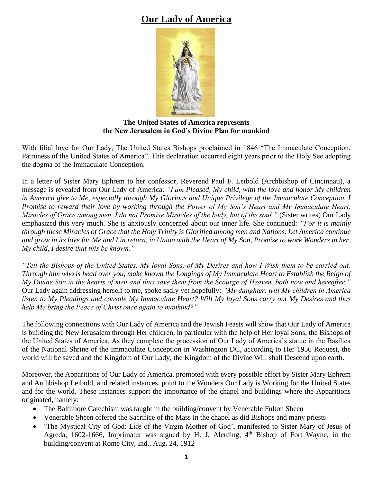# **Our Lady of America**



**The United States of America represents the New Jerusalem in God's Divine Plan for mankind**

With filial love for Our Lady, The United States Bishops proclaimed in 1846 "The Immaculate Conception, Patroness of the United States of America". This declaration occurred eight years prior to the Holy See adopting the dogma of the Immaculate Conception.

In a letter of Sister Mary Ephrem to her confessor, Reverend Paul F. Leibold (Archbishop of Cincinnati), a message is revealed from Our Lady of America: *"I am Pleased, My child, with the love and honor My children in America give to Me, especially through My Glorious and Unique Privilege of the Immaculate Conception. I Promise to reward their love by working through the Power of My Son's Heart and My Immaculate Heart, Miracles of Grace among men. I do not Promise Miracles of the body, but of the soul."* (Sister writes) Our Lady emphasized this very much. She is anxiously concerned about our inner life. She continued: *"For it is mainly through these Miracles of Grace that the Holy Trinity is Glorified among men and Nations. Let America continue and grow in its love for Me and I in return, in Union with the Heart of My Son, Promise to work Wonders in her. My child, I desire that this be known."*

*"Tell the Bishops of the United States, My loyal Sons, of My Desires and how I Wish them to be carried out. Through him who is head over you, make known the Longings of My Immaculate Heart to Establish the Reign of My Divine Son in the hearts of men and thus save them from the Scourge of Heaven, both now and hereafter."* Our Lady again addressing herself to me, spoke sadly yet hopefully: *"My daughter, will My children in America listen to My Pleadings and console My Immaculate Heart? Will My loyal Sons carry out My Desires and thus help Me bring the Peace of Christ once again to mankind?"*

The following connections with Our Lady of America and the Jewish Feasts will show that Our Lady of America is building the New Jerusalem through Her children, in particular with the help of Her loyal Sons, the Bishops of the United States of America. As they complete the procession of Our Lady of America's statue in the Basilica of the National Shrine of the Immaculate Conception in Washington DC, according to Her 1956 Request, the world will be saved and the Kingdom of Our Lady, the Kingdom of the Divine Will shall Descend upon earth.

Moreover, the Apparitions of Our Lady of America, promoted with every possible effort by Sister Mary Ephrem and Archbishop Leibold, and related instances, point to the Wonders Our Lady is Working for the United States and for the world. These instances support the importance of the chapel and buildings where the Apparitions originated, namely:

- The Baltimore Catechism was taught in the building/convent by Venerable Fulton Sheen
- Venerable Sheen offered the Sacrifice of the Mass in the chapel as did Bishops and many priests
- 'The Mystical City of God: Life of the Virgin Mother of God', manifested to Sister Mary of Jesus of Agreda, 1602-1666, Imprimatur was signed by H. J. Alerding,  $4<sup>th</sup>$  Bishop of Fort Wayne, in the building/convent at Rome City, Ind., Aug. 24, 1912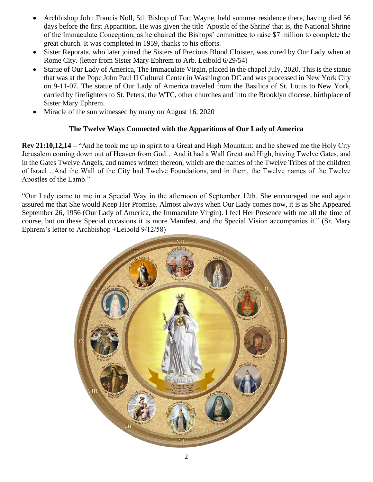- Archbishop John Francis Noll, 5th Bishop of Fort Wayne, held summer residence there, having died 56 days before the first Apparition. He was given the title 'Apostle of the Shrine' that is, the National Shrine of the Immaculate Conception, as he chaired the Bishops' committee to raise \$7 million to complete the great church. It was completed in 1959, thanks to his efforts.
- Sister Reporata, who later joined the Sisters of Precious Blood Cloister, was cured by Our Lady when at Rome City. (letter from Sister Mary Ephrem to Arb. Leibold 6/29/54)
- Statue of Our Lady of America, The Immaculate Virgin, placed in the chapel July, 2020. This is the statue that was at the Pope John Paul II Cultural Center in Washington DC and was processed in New York City on 9-11-07. The statue of Our Lady of America traveled from the Basilica of St. Louis to New York, carried by firefighters to St. Peters, the WTC, other churches and into the Brooklyn diocese, birthplace of Sister Mary Ephrem.
- Miracle of the sun witnessed by many on August 16, 2020

# **The Twelve Ways Connected with the Apparitions of Our Lady of America**

**Rev 21:10,12,14 –** "And he took me up in spirit to a Great and High Mountain: and he shewed me the Holy City Jerusalem coming down out of Heaven from God…And it had a Wall Great and High, having Twelve Gates, and in the Gates Twelve Angels, and names written thereon, which are the names of the Twelve Tribes of the children of Israel…And the Wall of the City had Twelve Foundations, and in them, the Twelve names of the Twelve Apostles of the Lamb."

"Our Lady came to me in a Special Way in the afternoon of September 12th. She encouraged me and again assured me that She would Keep Her Promise. Almost always when Our Lady comes now, it is as She Appeared September 26, 1956 (Our Lady of America, the Immaculate Virgin). I feel Her Presence with me all the time of course, but on these Special occasions it is more Manifest, and the Special Vision accompanies it." (Sr. Mary Ephrem's letter to Archbishop +Leibold 9/12/58)

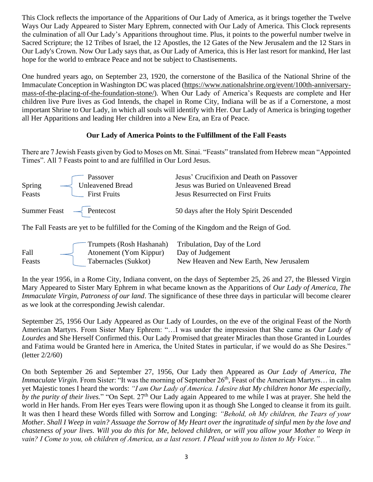This Clock reflects the importance of the Apparitions of Our Lady of America, as it brings together the Twelve Ways Our Lady Appeared to Sister Mary Ephrem, connected with Our Lady of America. This Clock represents the culmination of all Our Lady's Apparitions throughout time. Plus, it points to the powerful number twelve in Sacred Scripture; the 12 Tribes of Israel, the 12 Apostles, the 12 Gates of the New Jerusalem and the 12 Stars in Our Lady's Crown. Now Our Lady says that, as Our Lady of America, this is Her last resort for mankind, Her last hope for the world to embrace Peace and not be subject to Chastisements.

One hundred years ago, on September 23, 1920, the cornerstone of the Basilica of the National Shrine of the Immaculate Conception in Washington DC was placed [\(https://www.nationalshrine.org/event/100th-anniversary](https://www.nationalshrine.org/event/100th-anniversary-mass-of-the-placing-of-the-foundation-stone/)[mass-of-the-placing-of-the-foundation-stone/\)](https://www.nationalshrine.org/event/100th-anniversary-mass-of-the-placing-of-the-foundation-stone/). When Our Lady of America's Requests are complete and Her children live Pure lives as God Intends, the chapel in Rome City, Indiana will be as if a Cornerstone, a most important Shrine to Our Lady, in which all souls will identify with Her. Our Lady of America is bringing together all Her Apparitions and leading Her children into a New Era, an Era of Peace.

# **Our Lady of America Points to the Fulfillment of the Fall Feasts**

There are 7 Jewish Feasts given by God to Moses on Mt. Sinai. "Feasts" translated from Hebrew mean "Appointed Times". All 7 Feasts point to and are fulfilled in Our Lord Jesus.

| Spring<br>Feasts                                | Passover<br>Unleavened Bread<br><b>First Fruits</b> | Jesus' Crucifixion and Death on Passover<br>Jesus was Buried on Unleavened Bread<br><b>Jesus Resurrected on First Fruits</b> |
|-------------------------------------------------|-----------------------------------------------------|------------------------------------------------------------------------------------------------------------------------------|
| Summer Feast $\overline{\phantom{a}}$ Pentecost |                                                     | 50 days after the Holy Spirit Descended                                                                                      |

The Fall Feasts are yet to be fulfilled for the Coming of the Kingdom and the Reign of God.

|        |                        | Trumpets (Rosh Hashanah) Tribulation, Day of the Lord |
|--------|------------------------|-------------------------------------------------------|
| Fall   | Atonement (Yom Kippur) | Day of Judgement                                      |
| Feasts | Tabernacles (Sukkot)   | New Heaven and New Earth, New Jerusalem               |

In the year 1956, in a Rome City, Indiana convent, on the days of September 25, 26 and 27, the Blessed Virgin Mary Appeared to Sister Mary Ephrem in what became known as the Apparitions of *Our Lady of America, The Immaculate Virgin, Patroness of our land*. The significance of these three days in particular will become clearer as we look at the corresponding Jewish calendar.

September 25, 1956 Our Lady Appeared as Our Lady of Lourdes, on the eve of the original Feast of the North American Martyrs. From Sister Mary Ephrem: "…I was under the impression that She came as *Our Lady of Lourdes* and She Herself Confirmed this. Our Lady Promised that greater Miracles than those Granted in Lourdes and Fatima would be Granted here in America, the United States in particular, if we would do as She Desires." (letter 2/2/60)

On both September 26 and September 27, 1956, Our Lady then Appeared as *Our Lady of America, The Immaculate Virgin*. From Sister: "It was the morning of September 26<sup>th</sup>, Feast of the American Martyrs... in calm yet Majestic tones I heard the words: *"I am Our Lady of America. I desire that My children honor Me especially, by the purity of their lives.*" "On Sept. 27<sup>th</sup> Our Lady again Appeared to me while I was at prayer. She held the world in Her hands. From Her eyes Tears were flowing upon it as though She Longed to cleanse it from its guilt. It was then I heard these Words filled with Sorrow and Longing: *"Behold, oh My children, the Tears of your Mother. Shall I Weep in vain? Assuage the Sorrow of My Heart over the ingratitude of sinful men by the love and chasteness of your lives. Will you do this for Me, beloved children, or will you allow your Mother to Weep in vain? I Come to you, oh children of America, as a last resort. I Plead with you to listen to My Voice."*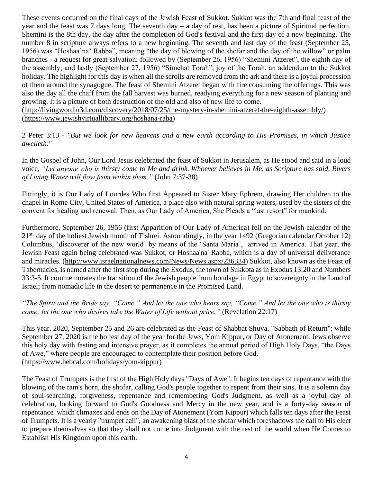These events occurred on the final days of the Jewish Feast of Sukkot. Sukkot was the 7th and final feast of the year and the feast was 7 days long. The seventh day – a day of rest, has been a picture of Spiritual perfection. Shemini is the 8th day, the day after the completion of God's festival and the first day of a new beginning. The number 8 in scripture always refers to a new beginning. The seventh and last day of the feast (September 25, 1956) was "Hoshaa'na' Rabba", meaning "the day of blowing of the shofar and the day of the willow" or palm branches - a request for great salvation; followed by (September 26, 1956) "Shemini Atzeret", the eighth day of the assembly; and lastly (September 27, 1956) "Simchat Torah", joy of the Torah, an addendum to the Sukkot holiday. The highlight for this day is when all the scrolls are removed from the ark and there is a joyful procession of them around the synagogue. The feast of Shemini Atzeret began with fire consuming the offerings. This was also the day all the chaff from the fall harvest was burned, readying everything for a new season of planting and growing. It is a picture of both destruction of the old and also of new life to come.

[\(http://livingwordin3d.com/discovery/2018/07/25/the-mystery-in-shemini-atzeret-the-eighth-assembly/\)](http://livingwordin3d.com/discovery/2018/07/25/the-mystery-in-shemini-atzeret-the-eighth-assembly/) [\(https://www.jewishvirtuallibrary.org/hoshana-raba\)](https://www.jewishvirtuallibrary.org/hoshana-raba)

[2 Peter 3:13](http://drbo.org/cgi-bin/d?b=drb&bk=68&ch=3&l=13#x) - *"But we look for new heavens and a new earth according to His Promises, in which Justice dwelleth."*

In the Gospel of John, Our Lord Jesus celebrated the feast of Sukkot in Jerusalem, as He stood and said in a loud voice, *"Let anyone who is thirsty come to Me and drink. Whoever believes in Me, as Scripture has said, Rivers of Living Water will flow from within them."* (John 7:37-38)

Fittingly, it is Our Lady of Lourdes Who first Appeared to Sister Mary Ephrem, drawing Her children to the chapel in Rome City, United States of America, a place also with natural spring waters, used by the sisters of the convent for healing and renewal. Then, as Our Lady of America, She Pleads a "last resort" for mankind.

Furthermore, September 26, 1956 (first Apparition of Our Lady of America) fell on the Jewish calendar of the 21<sup>st</sup> day of the holiest Jewish month of Tishrei. Astoundingly, in the year 1492 (Gregorian calendar October 12) Columbus, 'discoverer of the new world' by means of the 'Santa Maria', arrived in America. That year, the Jewish Feast again being celebrated was Sukkot, or Hoshaa'na' Rabba, which is a day of universal deliverance and miracles. [\(http://www.israelnationalnews.com/News/News.aspx/236334\)](https://eur04.safelinks.protection.outlook.com/?url=http%3A%2F%2Fwww.israelnationalnews.com%2FNews%2FNews.aspx%2F236334&data=02%7C01%7C%7Cc6396c1dcf0c4afee79e08d85b17c357%7C84df9e7fe9f640afb435aaaaaaaaaaaa%7C1%7C0%7C637359504948562474&sdata=SLeLMiLNSJNQURWfkGIXiTwgD0NAkZxbIuamMG0E9mc%3D&reserved=0) Sukkot, also known as the Feast of Tabernacles, is named after the first stop during the Exodus, the town of Sukkota as in Exodus 13:20 and Numbers 33:3-5. It commemorates the transition of the Jewish people from bondage in Egypt to sovereignty in the Land of Israel; from nomadic life in the desert to permanence in the Promised Land.

*"The Spirit and the Bride say, "Come." And let the one who hears say, "Come." And let the one who is thirsty come; let the one who desires take the Water of Life without price." (Revelation 22:17)* 

This year, 2020, September 25 and 26 are celebrated as the Feast of Shabbat Shuva, "Sabbath of Return"; while September 27, 2020 is the holiest day of the year for the Jews, Yom Kippur, or Day of Atonement. Jews observe this holy day with fasting and intensive prayer, as it completes the annual period of High Holy Days, "the Days of Awe," where people are encouraged to contemplate their position before God. [\(https://www.hebcal.com/holidays/yom-kippur\)](https://www.hebcal.com/holidays/yom-kippur)

The Feast of Trumpets is the first of the High Holy days "Days of Awe". It begins ten days of repentance with the blowing of the ram's horn, the [shofar,](https://www.thoughtco.com/what-is-a-shofar-2076493) calling God's people together to [repent](https://www.thoughtco.com/what-is-repentance-700694) from their sins. It is a solemn day of soul-searching, forgiveness, repentance and remembering God's Judgment, as well as a joyful day of celebration, looking forward to God's Goodness and Mercy in the new year, and is a forty-day season of repentance which climaxes and ends on the Day of Atonement (Yom Kippur) which falls ten days after the Feast of Trumpets. It is a yearly "trumpet call", an awakening blast of the shofar which foreshadows the call to His elect to prepare themselves so that they shall not come into Judgment with the rest of the world when He Comes to Establish His Kingdom upon this earth.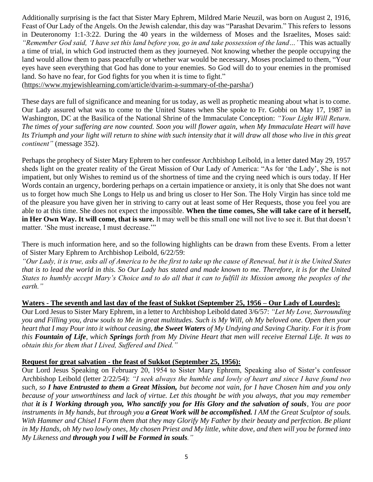Additionally surprising is the fact that Sister Mary Ephrem, Mildred Marie Neuzil, was born on August 2, 1916, Feast of Our Lady of the Angels. On the Jewish calendar, this day was "Parashat Devarim." This refers t[o lessons](https://www.sefaria.org/Deuteronomy.1.1-3.22?lang=he-en&utm_source=myjewishlearning.com&utm_medium=sefaria_linker)  [in Deuteronomy 1:1-3:22.](https://www.sefaria.org/Deuteronomy.1.1-3.22?lang=he-en&utm_source=myjewishlearning.com&utm_medium=sefaria_linker) During the 40 years in the wilderness of [Moses](https://www.myjewishlearning.com/texts/Bible/Torah/Exodus/Moses.shtml) and the Israelites, Moses said: *"Remember God said, 'I have set this land before you, go in and take possession of the land…'* This was actually a time of trial, in which God instructed them as they journeyed. Not knowing whether the people occupying the land would allow them to pass peacefully or whether war would be necessary, Moses proclaimed to them, "Your eyes have seen everything that God has done to your enemies. So God will do to your enemies in the promised land. So have no fear, for God fights for you when it is time to fight."

[\(https://www.myjewishlearning.com/article/dvarim-a-summary-of-the-parsha/\)](https://www.myjewishlearning.com/article/dvarim-a-summary-of-the-parsha/)

These days are full of significance and meaning for us today, as well as prophetic meaning about what is to come. Our Lady assured what was to come to the United States when She spoke to Fr. Gobbi on May 17, 1987 in Washington, DC at the Basilica of the National Shrine of the Immaculate Conception: *"Your Light Will Return. The times of your suffering are now counted. Soon you will flower again, when My Immaculate Heart will have Its Triumph and your light will return to shine with such intensity that it will draw all those who live in this great continent"* (message 352).

Perhaps the prophecy of Sister Mary Ephrem to her confessor Archbishop Leibold, in a letter dated May 29, 1957 sheds light on the greater reality of the Great Mission of Our Lady of America: "As for 'the Lady', She is not impatient, but only Wishes to remind us of the shortness of time and the crying need which is ours today. If Her Words contain an urgency, bordering perhaps on a certain impatience or anxiety, it is only that She does not want us to forget how much She Longs to Help us and bring us closer to Her Son. The Holy Virgin has since told me of the pleasure you have given her in striving to carry out at least some of Her Requests, those you feel you are able to at this time. She does not expect the impossible. **When the time comes, She will take care of it herself, in Her Own Way. It will come, that is sure.** It may well be this small one will not live to see it. But that doesn't matter. 'She must increase, I must decrease.'"

There is much information here, and so the following highlights can be drawn from these Events. From a letter of Sister Mary Ephrem to Archbishop Leibold, 6/22/59:

*"Our Lady, it is true, asks all of America to be the first to take up the cause of Renewal, but it is the United States that is to lead the world in this. So Our Lady has stated and made known to me. Therefore, it is for the United States to humbly accept Mary's Choice and to do all that it can to fulfill its Mission among the peoples of the earth."*

# **Waters - The seventh and last day of the feast of Sukkot (September 25, 1956 – Our Lady of Lourdes):**

Our Lord Jesus to Sister Mary Ephrem, in a letter to Archbishop Leibold dated 3/6/57: *"Let My Love, Surrounding you and Filling you, draw souls to Me in great multitudes. Such is My Will, oh My beloved one. Open then your heart that I may Pour into it without ceasing, the Sweet Waters of My Undying and Saving Charity. For it is from this Fountain of Life, which Springs forth from My Divine Heart that men will receive Eternal Life. It was to obtain this for them that I Lived, Suffered and Died."*

#### **Request for great salvation - the feast of Sukkot (September 25, 1956):**

Our Lord Jesus Speaking on February 20, 1954 to Sister Mary Ephrem, Speaking also of Sister's confessor Archbishop Leibold (letter 2/22/54): *"I seek always the humble and lowly of heart and since I have found two such, so I have Entrusted to them a Great Mission, but become not vain, for I have Chosen him and you only because of your unworthiness and lack of virtue. Let this thought be with you always, that you may remember that it is I Working through you, Who sanctify you for His Glory and the salvation of souls, You are poor instruments in My hands, but through you a Great Work will be accomplished. I AM the Great Sculptor of souls. With Hammer and Chisel I Form them that they may Glorify My Father by their beauty and perfection. Be pliant in My Hands, oh My two lowly ones, My chosen Priest and My little, white dove, and then will you be formed into My Likeness and through you I will be Formed in souls."*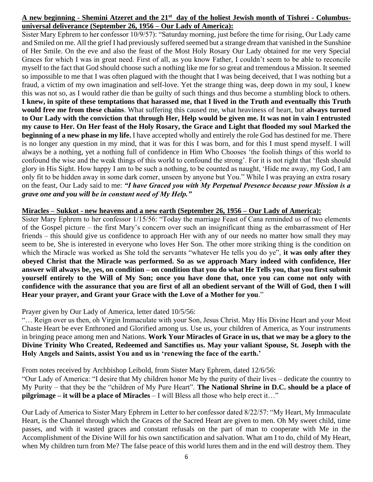# **A new beginning - Shemini Atzeret and the 21st day of the holiest Jewish month of Tishrei - Columbusuniversal deliverance (September 26, 1956 – Our Lady of America):**

Sister Mary Ephrem to her confessor 10/9/57): "Saturday morning, just before the time for rising, Our Lady came and Smiled on me. All the grief I had previously suffered seemed but a strange dream that vanished in the Sunshine of Her Smile. On the eve and also the feast of the Most Holy Rosary Our Lady obtained for me very Special Graces for which I was in great need. First of all, as you know Father, I couldn't seem to be able to reconcile myself to the fact that God should choose such a nothing like me for so great and tremendous a Mission. It seemed so impossible to me that I was often plagued with the thought that I was being deceived, that I was nothing but a fraud, a victim of my own imagination and self-love. Yet the strange thing was, deep down in my soul, I knew this was not so, as I would rather die than be guilty of such things and thus become a stumbling block to others. **I knew, in spite of these temptations that harassed me, that I lived in the Truth and eventually this Truth would free me from these chains**. What suffering this caused me, what heaviness of heart, but **always turned to Our Lady with the conviction that through Her, Help would be given me. It was not in vain I entrusted my cause to Her. On Her feast of the Holy Rosary, the Grace and Light that flooded my soul Marked the beginning of a new phase in my life.** I have accepted wholly and entirely the role God has destined for me. There is no longer any question in my mind, that it was for this I was born, and for this I must spend myself. I will always be a nothing, yet a nothing full of confidence in Him Who Chooses 'the foolish things of this world to confound the wise and the weak things of this world to confound the strong'. For it is not right that 'flesh should glory in His Sight. How happy I am to be such a nothing, to be counted as naught, 'Hide me away, my God, I am only fit to be hidden away in some dark corner, unseen by anyone but You." While I was praying an extra rosary on the feast, Our Lady said to me: *"I have Graced you with My Perpetual Presence because your Mission is a grave one and you will be in constant need of My Help."*

#### **Miracles – Sukkot - new heavens and a new earth (September 26, 1956 – Our Lady of America):**

Sister Mary Ephrem to her confessor 1/15/56: "Today the marriage Feast of Cana reminded us of two elements of the Gospel picture – the first Mary's concern over such an insignificant thing as the embarrassment of Her friends – this should give us confidence to approach Her with any of our needs no matter how small they may seem to be, She is interested in everyone who loves Her Son. The other more striking thing is the condition on which the Miracle was worked as She told the servants "whatever He tells you do ye", **it was only after they obeyed Christ that the Miracle was performed. So as we approach Mary indeed with confidence, Her answer will always be, yes, on condition – on condition that you do what He Tells you, that you first submit yourself entirely to the Will of My Son; once you have done that, once you can come not only with confidence with the assurance that you are first of all an obedient servant of the Will of God, then I will Hear your prayer, and Grant your Grace with the Love of a Mother for you**."

# Prayer given by Our Lady of America, letter dated 10/5/56:

"… Reign over us then, oh Virgin Immaculate with your Son, Jesus Christ. May His Divine Heart and your Most Chaste Heart be ever Enthroned and Glorified among us. Use us, your children of America, as Your instruments in bringing peace among men and Nations. **Work Your Miracles of Grace in us, that we may be a glory to the Divine Trinity Who Created, Redeemed and Sanctifies us. May your valiant Spouse, St. Joseph with the Holy Angels and Saints, assist You and us in 'renewing the face of the earth.'**

From notes received by Archbishop Leibold, from Sister Mary Ephrem, dated 12/6/56:

"Our Lady of America: "I desire that My children honor Me by the purity of their lives – dedicate the country to My Purity – that they be the "children of My Pure Heart". **The National Shrine in D.C. should be a place of pilgrimage – it will be a place of Miracles** – I will Bless all those who help erect it…"

Our Lady of America to Sister Mary Ephrem in Letter to her confessor dated 8/22/57: "My Heart, My Immaculate Heart, is the Channel through which the Graces of the Sacred Heart are given to men. Oh My sweet child, time passes, and with it wasted graces and constant refusals on the part of man to cooperate with Me in the Accomplishment of the Divine Will for his own sanctification and salvation. What am I to do, child of My Heart, when My children turn from Me? The false peace of this world lures them and in the end will destroy them. They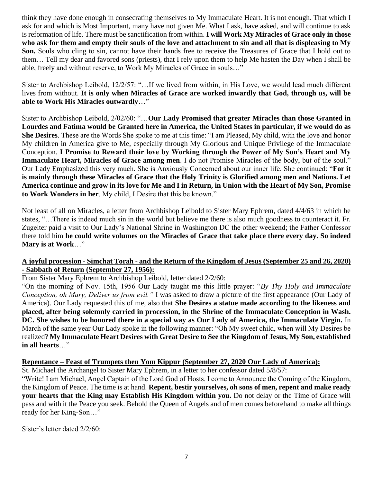think they have done enough in consecrating themselves to My Immaculate Heart. It is not enough. That which I ask for and which is Most Important, many have not given Me. What I ask, have asked, and will continue to ask is reformation of life. There must be sanctification from within. **I will Work My Miracles of Grace only in those who ask for them and empty their souls of the love and attachment to sin and all that is displeasing to My Son.** Souls who cling to sin, cannot have their hands free to receive the Treasures of Grace that I hold out to them… Tell my dear and favored sons (priests), that I rely upon them to help Me hasten the Day when I shall be able, freely and without reserve, to Work My Miracles of Grace in souls…"

Sister to Archbishop Leibold, 12/2/57: "…If we lived from within, in His Love, we would lead much different lives from without. **It is only when Miracles of Grace are worked inwardly that God, through us, will be able to Work His Miracles outwardly**…"

Sister to Archbishop Leibold, 2/02/60: "…**Our Lady Promised that greater Miracles than those Granted in Lourdes and Fatima would be Granted here in America, the United States in particular, if we would do as She Desires**. These are the Words She spoke to me at this time: "I am Pleased, My child, with the love and honor My children in America give to Me, especially through My Glorious and Unique Privilege of the Immaculate Conception. **I Promise to Reward their love by Working through the Power of My Son's Heart and My Immaculate Heart, Miracles of Grace among men**. I do not Promise Miracles of the body, but of the soul." Our Lady Emphasized this very much. She is Anxiously Concerned about our inner life. She continued: "**For it is mainly through these Miracles of Grace that the Holy Trinity is Glorified among men and Nations. Let America continue and grow in its love for Me and I in Return, in Union with the Heart of My Son, Promise to Work Wonders in her**. My child, I Desire that this be known."

Not least of all on Miracles, a letter from Archbishop Leibold to Sister Mary Ephrem, dated 4/4/63 in which he states, "…There is indeed much sin in the world but believe me there is also much goodness to counteract it. Fr. Zugelter paid a visit to Our Lady's National Shrine in Washington DC the other weekend; the Father Confessor there told him **he could write volumes on the Miracles of Grace that take place there every day. So indeed Mary is at Work**…"

# **A joyful procession - Simchat Torah - and the Return of the Kingdom of Jesus (September 25 and 26, 2020) - Sabbath of Return (September 27, 1956):**

From Sister Mary Ephrem to Archbishop Leibold, letter dated 2/2/60:

"On the morning of Nov. 15th, 1956 Our Lady taught me this little prayer: "*By Thy Holy and Immaculate Conception, oh Mary, Deliver us from evil."* I was asked to draw a picture of the first appearance (Our Lady of America). Our Lady requested this of me, also that **She Desires a statue made according to the likeness and placed, after being solemnly carried in procession, in the Shrine of the Immaculate Conception in Wash. DC. She wishes to be honored there in a special way as Our Lady of America, the Immaculate Virgin.** In March of the same year Our Lady spoke in the following manner: "Oh My sweet child, when will My Desires be realized? **My Immaculate Heart Desires with Great Desire to See the Kingdom of Jesus, My Son, established in all hearts**…"

# **Repentance – Feast of Trumpets then Yom Kippur (September 27, 2020 Our Lady of America):**

St. Michael the Archangel to Sister Mary Ephrem, in a letter to her confessor dated 5/8/57:

"Write! I am Michael, Angel Captain of the Lord God of Hosts. I come to Announce the Coming of the Kingdom, the Kingdom of Peace. The time is at hand. **Repent, bestir yourselves, oh sons of men, repent and make ready your hearts that the King may Establish His Kingdom within you.** Do not delay or the Time of Grace will pass and with it the Peace you seek. Behold the Queen of Angels and of men comes beforehand to make all things ready for her King-Son…"

Sister's letter dated 2/2/60: